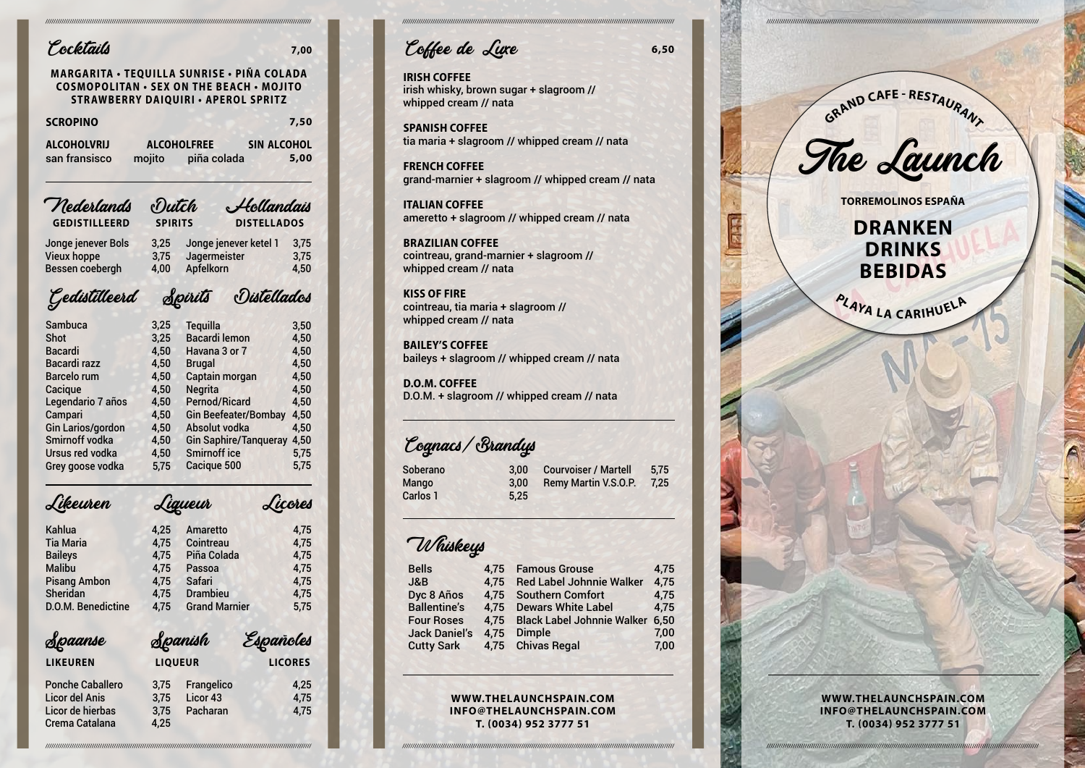*//////////////////////////////////////////////////////////////////////////////////////////////////////////////////////////////////// ///////////////////////////////////////////////////////////////////////////////////////////////////////////////////////////////////////*

*////////////////////////////////////////////////////////////////////////////////////////////////////////////////////////////////////*

*///////////////////////////////////////////////////////////////////////////////////////////////////////////////////////////////////////*



**WWW.THELAUNCHSPAIN.COM INFO@THELAUNCHSPAIN.COM T. (0034) 952 3777 51**

### **WWW.THELAUNCHSPAIN.COM INFO@THELAUNCHSPAIN.COM T. (0034) 952 3777 51**

E

Coffee de Luxe **6,50**

**IRISH COFFEE**  irish whisky, brown sugar + slagroom // whipped cream // nata

**SPANISH COFFEE**  tia maria + slagroom // whipped cream // nata

**FRENCH COFFEE** grand-marnier + slagroom // whipped cream // nata

**ITALIAN COFFEE**  ameretto + slagroom // whipped cream // nata

**BRAZILIAN COFFEE** cointreau, grand-marnier + slagroom // whipped cream // nata

Soberano 3,00 Mango 3,00 Carlos 1 5.25

**KISS OF FIRE** cointreau, tia maria + slagroom // whipped cream // nata

**BAILEY'S COFFEE** baileys + slagroom // whipped cream // nata

**D.O.M. COFFEE** D.O.M. + slagroom // whipped cream // nata

### Cocktails **7,00 MARGARITA • TEQUILLA SUNRISE • PIÑA COLADA COSMOPOLITAN • SEX ON THE BEACH • MOJITO STRAWBERRY DAIQUIRI • APEROL SPRITZ SCROPINO 7,50 ALCOHOLVRIJ ALCOHOLFREE SIN ALCOHOL** san fransisco mojito piña colada **5,00** Likeuren Liqueur Licores Kahlua 4,25 Tia Maria **4,75** Baileys 4.75 Malibu 4,75 Pisang Ambon 4,75 Sheridan 4.75 D.O.M. Benedictine 4,75 Amaretto 4,75 Cointreau 4,75 Piña Colada 4.75 Passoa 4,75 Safari 4,75 Drambieu 4,75 Grand Marnier 5.75 Spaanse Spanish Españoles Jonge jenever Bols 3,25 Vieux hoppe 3.75 Bessen coebergh 4,00 Jonge jenever ketel 1 3,75<br>Jagermeister 3.75 **Jagermeister** Apfelkorn 4,50 Mederlands Dutch Hollandais **GEDISTILLEERD** Sambuca 3,25 Shot 3.25 Bacardi 4,50 Bacardi razz 4,50 Barcelo rum 4,50 Cacique 4,50 Legendario 7 años 4,50 Campari 4,50 Gin Larios/gordon 4,50 Smirnoff vodka 4.50 Ursus red vodka <br />
4.50 Grey goose vodka 5,75 Tequilla 3,50 Bacardi lemon 4.50 Havana 3 or 7 4,50 Brugal 4,50 Captain morgan 4,50 Negrita 4,50 Pernod/Ricard 4,50 Gin Beefeater/Bombay 4,50 Absolut vodka <br />
4.50 Gin Saphire/Tanqueray 4,50 Smirnoff ice 5,75 Cacique 500 5,75 Gedistilleerd Spirits Distellados

| <b><i>Ofsaunse</i></b>                                                                        | <b>Ofpunish</b>              |                                                      | <i><b>Espanoves</b></i> |  |
|-----------------------------------------------------------------------------------------------|------------------------------|------------------------------------------------------|-------------------------|--|
| <b>LIKEUREN</b>                                                                               | <b>LIQUEUR</b>               |                                                      | <b>LICORES</b>          |  |
| <b>Ponche Caballero</b><br><b>Licor del Anis</b><br>Licor de hierbas<br><b>Crema Catalana</b> | 3,75<br>3,75<br>3,75<br>4,25 | <b>Frangelico</b><br>Licor <sub>43</sub><br>Pacharan | 4,25<br>4,75<br>4,75    |  |

| <b>Bells</b>         |      | 4,75 Famous Grouse                   | 4,75 |
|----------------------|------|--------------------------------------|------|
| J&B                  |      | 4,75 Red Label Johnnie Walker        | 4,75 |
| Dyc 8 Años           |      | 4,75 Southern Comfort                | 4,75 |
| <b>Ballentine's</b>  |      | 4.75 Dewars White Label              | 4,75 |
| <b>Four Roses</b>    |      | 4,75 Black Label Johnnie Walker 6,50 |      |
| <b>Jack Daniel's</b> | 4,75 | <b>Dimple</b>                        | 7,00 |
| <b>Cutty Sark</b>    |      | 4,75 Chivas Regal                    | 7,00 |
|                      |      |                                      |      |

Whiskeys

Courvoiser / Martell 5,75 Remy Martin V.S.O.P. 7,25

Cognacs/Brandys